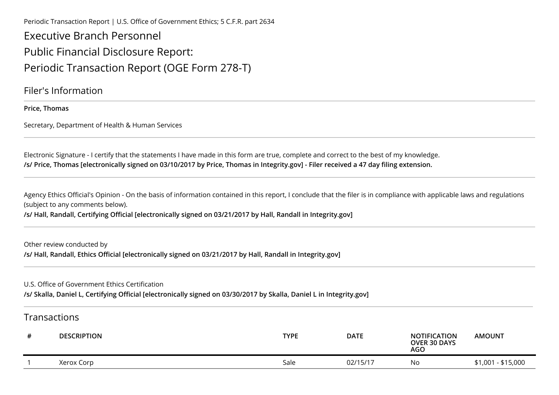Periodic Transaction Report | U.S. Office of Government Ethics; 5 C.F.R. part 2634

Executive Branch PersonnelPublic Financial Disclosure Report:Periodic Transaction Report (OGE Form 278-T)

Filer's Information

**Price, Thomas**

Secretary, Department of Health & Human Services

Electronic Signature - I certify that the statements I have made in this form are true, complete and correct to the best of my knowledge.**/s/ Price, Thomas [electronically signed on 03/10/2017 by Price, Thomas in Integrity.gov] - Filer received a 47 day filing extension.**

Agency Ethics Official's Opinion - On the basis of information contained in this report, I conclude that the filer is in compliance with applicable laws and regulations (subject to any comments below).

**/s/ Hall, Randall, Certifying Official [electronically signed on 03/21/2017 by Hall, Randall in Integrity.gov]**

Other review conducted by**/s/ Hall, Randall, Ethics Official [electronically signed on 03/21/2017 by Hall, Randall in Integrity.gov]**

U.S. Office of Government Ethics Certification

**/s/ Skalla, Daniel L, Certifying Official [electronically signed on 03/30/2017 by Skalla, Daniel L in Integrity.gov]**

## Transactions

| # | <b>DESCRIPTION</b> | <b>TYPE</b> | <b>DATE</b>            | <b>NOTIFICATION</b><br><b>OVER 30 DAYS</b><br>AGO | <b>AMOUNT</b>      |
|---|--------------------|-------------|------------------------|---------------------------------------------------|--------------------|
|   | Xerox Corp         | Sale        | $02/15/1$ <sup>-</sup> | Νo                                                | \$1,001 - \$15,000 |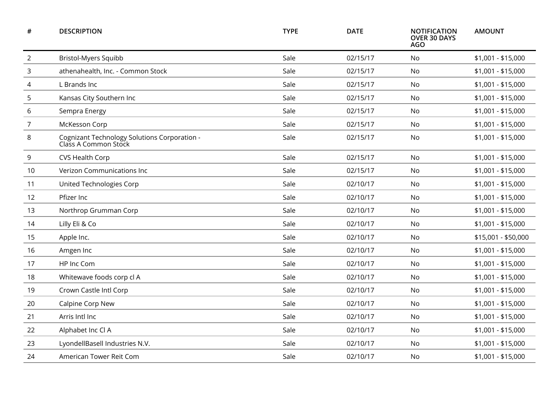| #              | <b>DESCRIPTION</b>                                                   | <b>TYPE</b> | <b>DATE</b> | <b>NOTIFICATION</b><br><b>OVER 30 DAYS</b><br><b>AGO</b> | <b>AMOUNT</b>       |
|----------------|----------------------------------------------------------------------|-------------|-------------|----------------------------------------------------------|---------------------|
| $\overline{2}$ | <b>Bristol-Myers Squibb</b>                                          | Sale        | 02/15/17    | <b>No</b>                                                | \$1,001 - \$15,000  |
| 3              | athenahealth, Inc. - Common Stock                                    | Sale        | 02/15/17    | No                                                       | \$1,001 - \$15,000  |
| 4              | L Brands Inc                                                         | Sale        | 02/15/17    | No                                                       | \$1,001 - \$15,000  |
| 5              | Kansas City Southern Inc                                             | Sale        | 02/15/17    | No                                                       | $$1,001 - $15,000$  |
| 6              | Sempra Energy                                                        | Sale        | 02/15/17    | <b>No</b>                                                | $$1,001 - $15,000$  |
| $\overline{7}$ | McKesson Corp                                                        | Sale        | 02/15/17    | No.                                                      | $$1,001 - $15,000$  |
| 8              | Cognizant Technology Solutions Corporation -<br>Class A Common Stock | Sale        | 02/15/17    | <b>No</b>                                                | $$1,001 - $15,000$  |
| 9              | CVS Health Corp                                                      | Sale        | 02/15/17    | No                                                       | \$1,001 - \$15,000  |
| 10             | Verizon Communications Inc                                           | Sale        | 02/15/17    | No                                                       | \$1,001 - \$15,000  |
| 11             | United Technologies Corp                                             | Sale        | 02/10/17    | No                                                       | $$1,001 - $15,000$  |
| 12             | Pfizer Inc                                                           | Sale        | 02/10/17    | No                                                       | $$1,001 - $15,000$  |
| 13             | Northrop Grumman Corp                                                | Sale        | 02/10/17    | <b>No</b>                                                | $$1,001 - $15,000$  |
| 14             | Lilly Eli & Co                                                       | Sale        | 02/10/17    | No.                                                      | $$1,001 - $15,000$  |
| 15             | Apple Inc.                                                           | Sale        | 02/10/17    | No                                                       | \$15,001 - \$50,000 |
| 16             | Amgen Inc                                                            | Sale        | 02/10/17    | No                                                       | $$1,001 - $15,000$  |
| 17             | HP Inc Com                                                           | Sale        | 02/10/17    | No.                                                      | \$1,001 - \$15,000  |
| 18             | Whitewave foods corp cl A                                            | Sale        | 02/10/17    | No                                                       | $$1,001 - $15,000$  |
| 19             | Crown Castle Intl Corp                                               | Sale        | 02/10/17    | No.                                                      | $$1,001 - $15,000$  |
| 20             | Calpine Corp New                                                     | Sale        | 02/10/17    | No                                                       | $$1,001 - $15,000$  |
| 21             | Arris Intl Inc                                                       | Sale        | 02/10/17    | <b>No</b>                                                | $$1,001 - $15,000$  |
| 22             | Alphabet Inc Cl A                                                    | Sale        | 02/10/17    | No                                                       | \$1,001 - \$15,000  |
| 23             | LyondellBasell Industries N.V.                                       | Sale        | 02/10/17    | No                                                       | \$1,001 - \$15,000  |
| 24             | American Tower Reit Com                                              | Sale        | 02/10/17    | No                                                       | $$1,001 - $15,000$  |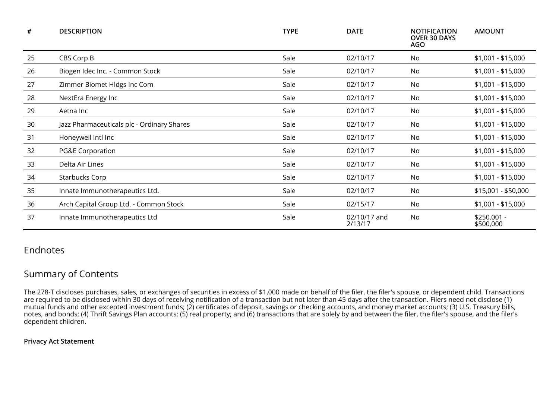| #  | <b>DESCRIPTION</b>                         | <b>TYPE</b> | <b>DATE</b>             | <b>NOTIFICATION</b><br><b>OVER 30 DAYS</b><br>AGO | <b>AMOUNT</b>            |
|----|--------------------------------------------|-------------|-------------------------|---------------------------------------------------|--------------------------|
| 25 | CBS Corp B                                 | Sale        | 02/10/17                | No                                                | $$1,001 - $15,000$       |
| 26 | Biogen Idec Inc. - Common Stock            | Sale        | 02/10/17                | No                                                | $$1,001 - $15,000$       |
| 27 | Zimmer Biomet Hldgs Inc Com                | Sale        | 02/10/17                | No                                                | $$1,001 - $15,000$       |
| 28 | NextEra Energy Inc                         | Sale        | 02/10/17                | No                                                | $$1,001 - $15,000$       |
| 29 | Aetna Inc                                  | Sale        | 02/10/17                | No                                                | $$1,001 - $15,000$       |
| 30 | Jazz Pharmaceuticals plc - Ordinary Shares | Sale        | 02/10/17                | No                                                | $$1,001 - $15,000$       |
| 31 | Honeywell Intl Inc                         | Sale        | 02/10/17                | No                                                | $$1,001 - $15,000$       |
| 32 | <b>PG&amp;E Corporation</b>                | Sale        | 02/10/17                | No                                                | $$1,001 - $15,000$       |
| 33 | Delta Air Lines                            | Sale        | 02/10/17                | No                                                | $$1,001 - $15,000$       |
| 34 | Starbucks Corp                             | Sale        | 02/10/17                | No                                                | $$1,001 - $15,000$       |
| 35 | Innate Immunotherapeutics Ltd.             | Sale        | 02/10/17                | No                                                | \$15,001 - \$50,000      |
| 36 | Arch Capital Group Ltd. - Common Stock     | Sale        | 02/15/17                | No                                                | \$1,001 - \$15,000       |
| 37 | Innate Immunotherapeutics Ltd              | Sale        | 02/10/17 and<br>2/13/17 | No                                                | \$250,001 -<br>\$500,000 |

## Endnotes

## Summary of Contents

The 278-T discloses purchases, sales, or exchanges of securities in excess of \$1,000 made on behalf of the filer, the filer's spouse, or dependent child. Transactions<br>are required to be disclosed within 30 days of receivin mutual funds and other excepted investment funds; (2) certificates of deposit, savings or checking accounts, and money market accounts; (3) U.S. Treasury bills,<br>notes, and bonds; (4) Thrift Savings Plan accounts; (5) real dependent children.

## **Privacy Act Statement**